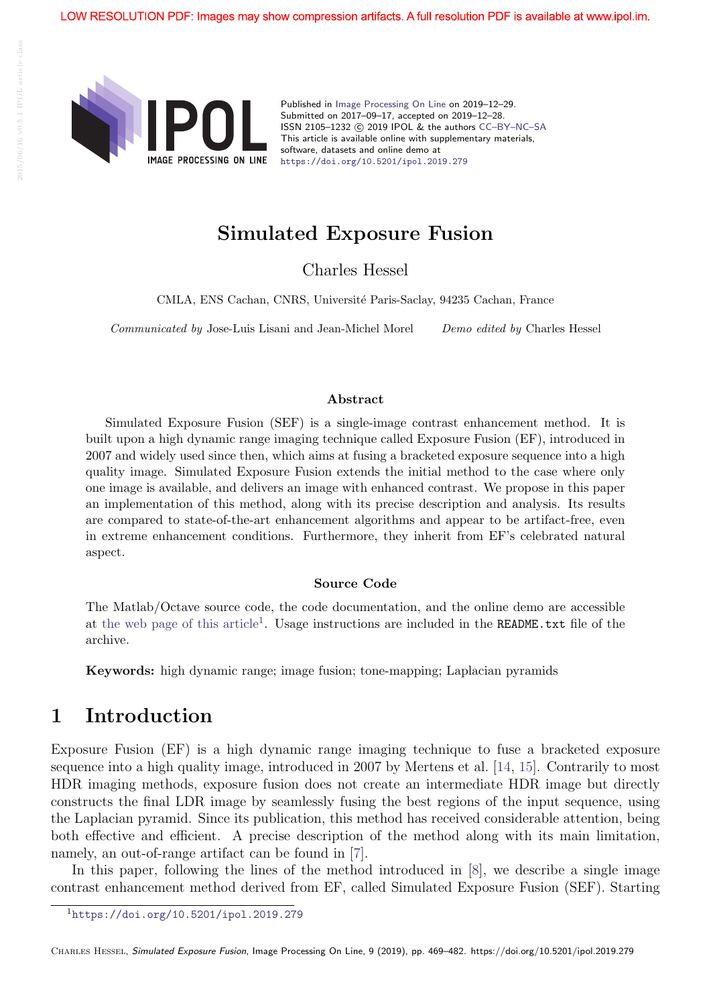

Published in Image Processing On Line on 2019–12–29. Submitted on 2017–09–17, accepted on 2019–12–28. ISSN 2105-1232 (c) 2019 IPOL & the authors CC-BY-NC-SA This article is available online with supplementary materials, software, datasets and online demo at https://doi.org/10.5201/ipol.2019.279

## Simulated Exposure Fusion

Charles Hessel

CMLA, ENS Cachan, CNRS, Université Paris-Saclay, 94235 Cachan, France

Communicated by Jose-Luis Lisani and Jean-Michel Morel Demo edited by Charles Hessel

#### Abstract

Simulated Exposure Fusion (SEF) is a single-image contrast enhancement method. It is built upon a high dynamic range imaging technique called Exposure Fusion (EF), introduced in 2007 and widely used since then, which aims at fusing a bracketed exposure sequence into a high quality image. Simulated Exposure Fusion extends the initial method to the case where only one image is available, and delivers an image with enhanced contrast. We propose in this paper an implementation of this method, along with its precise description and analysis. Its results are compared to state-of-the-art enhancement algorithms and appear to be artifact-free, even in extreme enhancement conditions. Furthermore, they inherit from EF's celebrated natural aspect.

#### Source Code

The Matlab/Octave source code, the code documentation, and the online demo are accessible at the web page of this article<sup>1</sup>. Usage instructions are included in the README.txt file of the archive.

Keywords: high dynamic range; image fusion; tone-mapping; Laplacian pyramids

### 1 Introduction

Exposure Fusion (EF) is a high dynamic range imaging technique to fuse a bracketed exposure sequence into a high quality image, introduced in 2007 by Mertens et al. [14, 15]. Contrarily to most HDR imaging methods, exposure fusion does not create an intermediate HDR image but directly constructs the final LDR image by seamlessly fusing the best regions of the input sequence, using the Laplacian pyramid. Since its publication, this method has received considerable attention, being both effective and efficient. A precise description of the method along with its main limitation, namely, an out-of-range artifact can be found in [7].

In this paper, following the lines of the method introduced in [8], we describe a single image contrast enhancement method derived from EF, called Simulated Exposure Fusion (SEF). Starting

<sup>1</sup>https://doi.org/10.5201/ipol.2019.279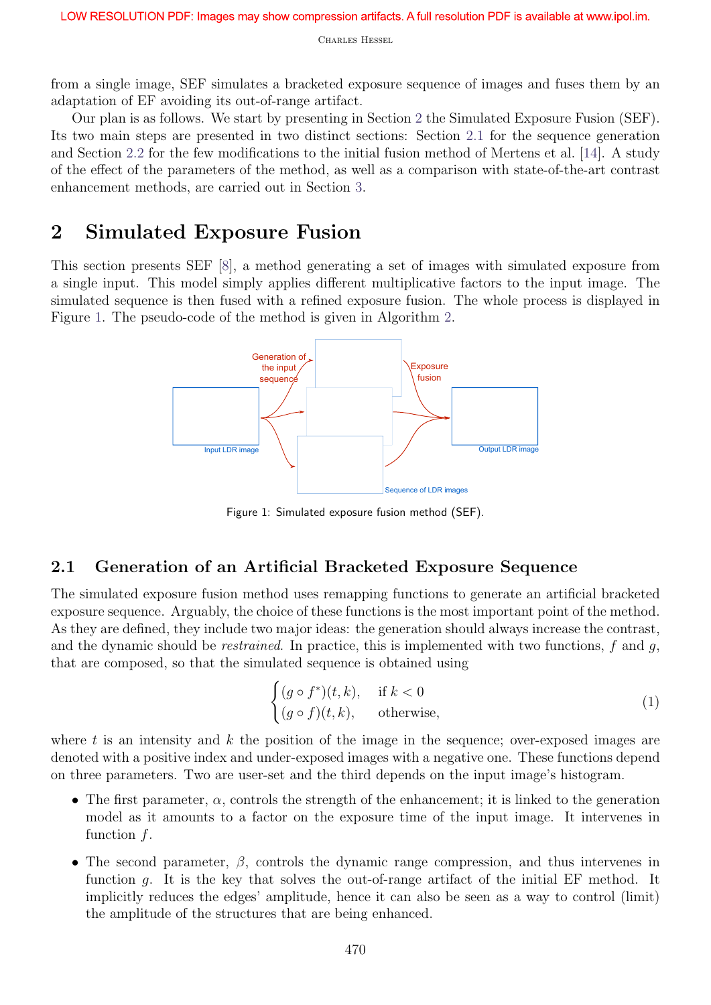from a single image, SEF simulates a bracketed exposure sequence of images and fuses them by an adaptation of EF avoiding its out-of-range artifact.

Our plan is as follows. We start by presenting in Section 2 the Simulated Exposure Fusion (SEF). Its two main steps are presented in two distinct sections: Section 2.1 for the sequence generation and Section 2.2 for the few modifications to the initial fusion method of Mertens et al. [14]. A study of the effect of the parameters of the method, as well as a comparison with state-of-the-art contrast enhancement methods, are carried out in Section 3.

## 2 Simulated Exposure Fusion

This section presents SEF [8], a method generating a set of images with simulated exposure from a single input. This model simply applies different multiplicative factors to the input image. The simulated sequence is then fused with a refined exposure fusion. The whole process is displayed in Figure 1. The pseudo-code of the method is given in Algorithm 2.



Figure 1: Simulated exposure fusion method (SEF).

### 2.1 Generation of an Artificial Bracketed Exposure Sequence

The simulated exposure fusion method uses remapping functions to generate an artificial bracketed exposure sequence. Arguably, the choice of these functions is the most important point of the method. As they are defined, they include two major ideas: the generation should always increase the contrast, and the dynamic should be *restrained*. In practice, this is implemented with two functions,  $f$  and  $g$ , that are composed, so that the simulated sequence is obtained using

$$
\begin{cases}\n(g \circ f^*)(t, k), & \text{if } k < 0 \\
(g \circ f)(t, k), & \text{otherwise,} \n\end{cases}
$$
\n(1)

where  $t$  is an intensity and  $k$  the position of the image in the sequence; over-exposed images are denoted with a positive index and under-exposed images with a negative one. These functions depend on three parameters. Two are user-set and the third depends on the input image's histogram.

- The first parameter,  $\alpha$ , controls the strength of the enhancement; it is linked to the generation model as it amounts to a factor on the exposure time of the input image. It intervenes in function f.
- The second parameter,  $\beta$ , controls the dynamic range compression, and thus intervenes in function q. It is the key that solves the out-of-range artifact of the initial EF method. It implicitly reduces the edges' amplitude, hence it can also be seen as a way to control (limit) the amplitude of the structures that are being enhanced.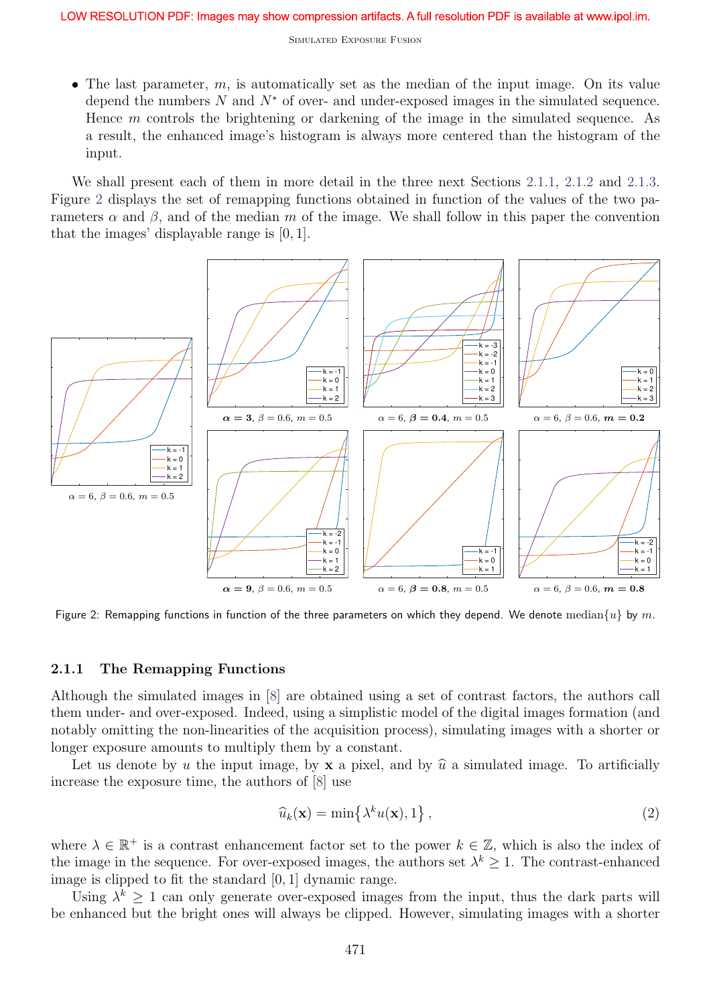• The last parameter,  $m$ , is automatically set as the median of the input image. On its value depend the numbers  $N$  and  $N^*$  of over- and under-exposed images in the simulated sequence. Hence m controls the brightening or darkening of the image in the simulated sequence. As a result, the enhanced image's histogram is always more centered than the histogram of the input.

We shall present each of them in more detail in the three next Sections 2.1.1, 2.1.2 and 2.1.3. Figure 2 displays the set of remapping functions obtained in function of the values of the two parameters  $\alpha$  and  $\beta$ , and of the median m of the image. We shall follow in this paper the convention that the images' displayable range is [0, 1].



Figure 2: Remapping functions in function of the three parameters on which they depend. We denote median $\{u\}$  by m.

#### 2.1.1 The Remapping Functions

Although the simulated images in [8] are obtained using a set of contrast factors, the authors call them under- and over-exposed. Indeed, using a simplistic model of the digital images formation (and notably omitting the non-linearities of the acquisition process), simulating images with a shorter or longer exposure amounts to multiply them by a constant.

Let us denote by u the input image, by **x** a pixel, and by  $\hat{u}$  a simulated image. To artificially increase the exposure time, the authors of [8] use

$$
\widehat{u}_k(\mathbf{x}) = \min\left\{\lambda^k u(\mathbf{x}), 1\right\},\tag{2}
$$

where  $\lambda \in \mathbb{R}^+$  is a contrast enhancement factor set to the power  $k \in \mathbb{Z}$ , which is also the index of the image in the sequence. For over-exposed images, the authors set  $\lambda^k \geq 1$ . The contrast-enhanced image is clipped to fit the standard [0, 1] dynamic range.

Using  $\lambda^k \geq 1$  can only generate over-exposed images from the input, thus the dark parts will be enhanced but the bright ones will always be clipped. However, simulating images with a shorter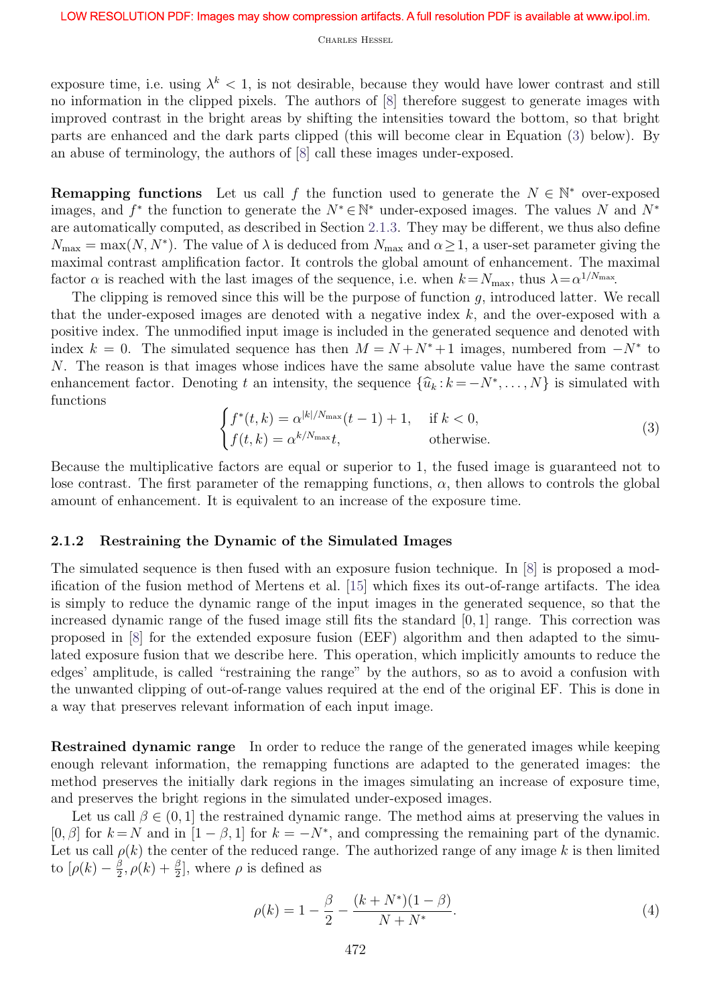exposure time, i.e. using  $\lambda^k < 1$ , is not desirable, because they would have lower contrast and still no information in the clipped pixels. The authors of [8] therefore suggest to generate images with improved contrast in the bright areas by shifting the intensities toward the bottom, so that bright parts are enhanced and the dark parts clipped (this will become clear in Equation (3) below). By an abuse of terminology, the authors of [8] call these images under-exposed.

**Remapping functions** Let us call f the function used to generate the  $N \in \mathbb{N}^*$  over-exposed images, and  $f^*$  the function to generate the  $N^* \in \mathbb{N}^*$  under-exposed images. The values N and  $N^*$ are automatically computed, as described in Section 2.1.3. They may be different, we thus also define  $N_{\text{max}} = \max(N, N^*)$ . The value of  $\lambda$  is deduced from  $N_{\text{max}}$  and  $\alpha \geq 1$ , a user-set parameter giving the maximal contrast amplification factor. It controls the global amount of enhancement. The maximal factor  $\alpha$  is reached with the last images of the sequence, i.e. when  $k = N_{\text{max}}$ , thus  $\lambda = \alpha^{1/N_{\text{max}}}$ .

The clipping is removed since this will be the purpose of function  $g$ , introduced latter. We recall that the under-exposed images are denoted with a negative index  $k$ , and the over-exposed with a positive index. The unmodified input image is included in the generated sequence and denoted with index  $k = 0$ . The simulated sequence has then  $M = N + N^* + 1$  images, numbered from  $-N^*$  to N. The reason is that images whose indices have the same absolute value have the same contrast enhancement factor. Denoting t an intensity, the sequence  $\{\widehat{u}_k : k = -N^*, \ldots, N\}$  is simulated with functions

$$
\begin{cases}\nf^*(t,k) = \alpha^{|k|/N_{\max}}(t-1) + 1, & \text{if } k < 0, \\
f(t,k) = \alpha^{k/N_{\max}}t, & \text{otherwise.} \n\end{cases}
$$
\n(3)

Because the multiplicative factors are equal or superior to 1, the fused image is guaranteed not to lose contrast. The first parameter of the remapping functions,  $\alpha$ , then allows to controls the global amount of enhancement. It is equivalent to an increase of the exposure time.

#### 2.1.2 Restraining the Dynamic of the Simulated Images

The simulated sequence is then fused with an exposure fusion technique. In [8] is proposed a modification of the fusion method of Mertens et al. [15] which fixes its out-of-range artifacts. The idea is simply to reduce the dynamic range of the input images in the generated sequence, so that the increased dynamic range of the fused image still fits the standard [0, 1] range. This correction was proposed in [8] for the extended exposure fusion (EEF) algorithm and then adapted to the simulated exposure fusion that we describe here. This operation, which implicitly amounts to reduce the edges' amplitude, is called "restraining the range" by the authors, so as to avoid a confusion with the unwanted clipping of out-of-range values required at the end of the original EF. This is done in a way that preserves relevant information of each input image.

Restrained dynamic range In order to reduce the range of the generated images while keeping enough relevant information, the remapping functions are adapted to the generated images: the method preserves the initially dark regions in the images simulating an increase of exposure time, and preserves the bright regions in the simulated under-exposed images.

Let us call  $\beta \in (0, 1]$  the restrained dynamic range. The method aims at preserving the values in [0,  $\beta$ ] for  $k = N$  and in  $[1 - \beta, 1]$  for  $k = -N^*$ , and compressing the remaining part of the dynamic. Let us call  $\rho(k)$  the center of the reduced range. The authorized range of any image k is then limited to  $[\rho(k)-\frac{\beta}{2}]$  $(\frac{\beta}{2}, \rho(k) + \frac{\beta}{2}]$ , where  $\rho$  is defined as

$$
\rho(k) = 1 - \frac{\beta}{2} - \frac{(k + N^*)(1 - \beta)}{N + N^*}.
$$
\n(4)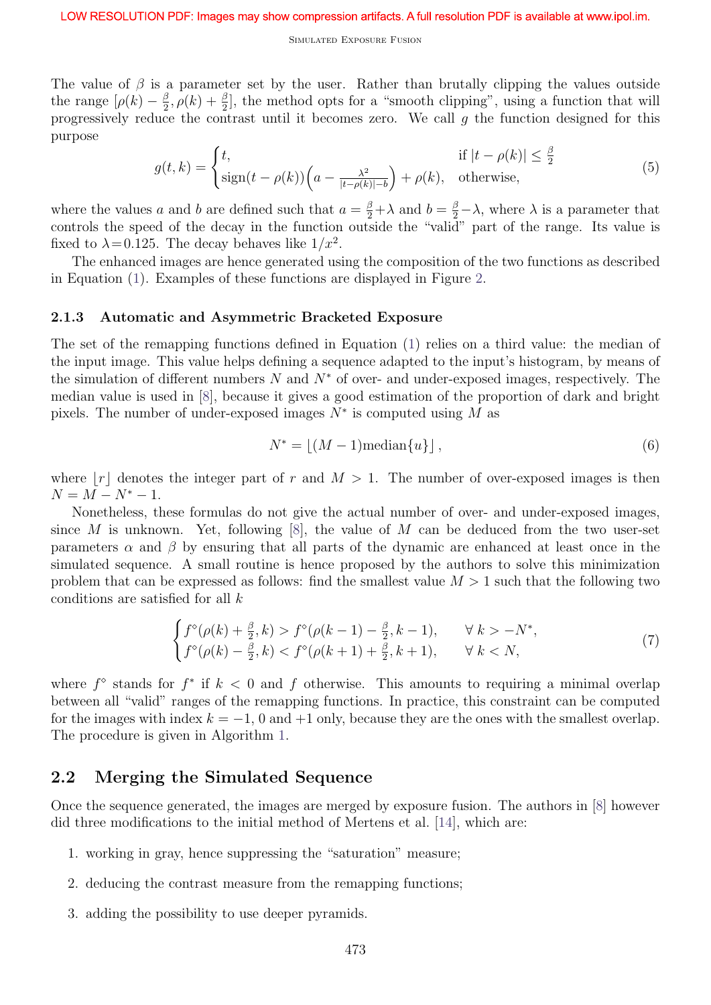The value of  $\beta$  is a parameter set by the user. Rather than brutally clipping the values outside the range  $[\rho(k) - \frac{\beta}{2}]$  $\frac{\beta}{2}$ ,  $\rho(k) + \frac{\beta}{2}$ , the method opts for a "smooth clipping", using a function that will progressively reduce the contrast until it becomes zero. We call  $g$  the function designed for this purpose

$$
g(t,k) = \begin{cases} t, & \text{if } |t - \rho(k)| \le \frac{\beta}{2} \\ \text{sign}(t - \rho(k)) \Big( a - \frac{\lambda^2}{|t - \rho(k)| - b} \Big) + \rho(k), & \text{otherwise,} \end{cases}
$$
(5)

where the values a and b are defined such that  $a = \frac{\beta}{2} + \lambda$  and  $b = \frac{\beta}{2} - \lambda$ , where  $\lambda$  is a parameter that controls the speed of the decay in the function outside the "valid" part of the range. Its value is fixed to  $\lambda = 0.125$ . The decay behaves like  $1/x^2$ .

The enhanced images are hence generated using the composition of the two functions as described in Equation (1). Examples of these functions are displayed in Figure 2.

#### 2.1.3 Automatic and Asymmetric Bracketed Exposure

The set of the remapping functions defined in Equation (1) relies on a third value: the median of the input image. This value helps defining a sequence adapted to the input's histogram, by means of the simulation of different numbers  $N$  and  $N^*$  of over- and under-exposed images, respectively. The median value is used in [8], because it gives a good estimation of the proportion of dark and bright pixels. The number of under-exposed images  $N^*$  is computed using M as

$$
N^* = \lfloor (M-1) \text{median}\{u\} \rfloor, \tag{6}
$$

where |r| denotes the integer part of r and  $M > 1$ . The number of over-exposed images is then  $N = M - N^* - 1.$ 

Nonetheless, these formulas do not give the actual number of over- and under-exposed images, since M is unknown. Yet, following  $[8]$ , the value of M can be deduced from the two user-set parameters  $\alpha$  and  $\beta$  by ensuring that all parts of the dynamic are enhanced at least once in the simulated sequence. A small routine is hence proposed by the authors to solve this minimization problem that can be expressed as follows: find the smallest value  $M > 1$  such that the following two conditions are satisfied for all  $k$ 

$$
\begin{cases}\nf^{\diamond}(\rho(k) + \frac{\beta}{2}, k) > f^{\diamond}(\rho(k-1) - \frac{\beta}{2}, k-1), & \forall \ k > -N^*, \\
f^{\diamond}(\rho(k) - \frac{\beta}{2}, k) < f^{\diamond}(\rho(k+1) + \frac{\beta}{2}, k+1), & \forall \ k < N,\n\end{cases} \tag{7}
$$

where  $f^{\diamond}$  stands for  $f^*$  if  $k < 0$  and f otherwise. This amounts to requiring a minimal overlap between all "valid" ranges of the remapping functions. In practice, this constraint can be computed for the images with index  $k = -1$ , 0 and  $+1$  only, because they are the ones with the smallest overlap. The procedure is given in Algorithm 1.

### 2.2 Merging the Simulated Sequence

Once the sequence generated, the images are merged by exposure fusion. The authors in [8] however did three modifications to the initial method of Mertens et al. [14], which are:

- 1. working in gray, hence suppressing the "saturation" measure;
- 2. deducing the contrast measure from the remapping functions;
- 3. adding the possibility to use deeper pyramids.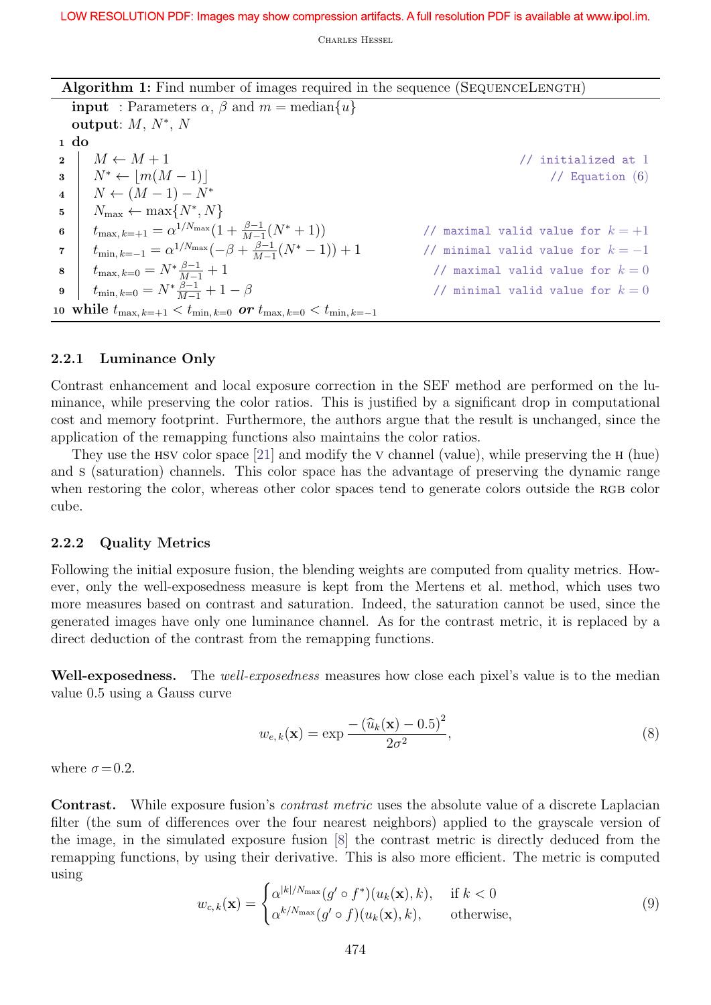| Algorithm 1: Find number of images required in the sequence (SEQUENCELENGTH) |  |  |  |  |
|------------------------------------------------------------------------------|--|--|--|--|
|------------------------------------------------------------------------------|--|--|--|--|

**input** : Parameters  $\alpha$ ,  $\beta$  and  $m = \text{median}\{u\}$ output:  $M, N^*, N$ <sup>1</sup> do 2  $M \leftarrow M + 1$  // initialized at 1  $3 \mid N^* \leftarrow |m(M-1)|$  // Equation (6)  $4 \mid N \leftarrow (M-1) - N^*$  $5 \mid N_{\max} \leftarrow \max\{N^*, N\}$ 6  $t_{\max, k=+1} = \alpha^{1/N_{\max}}(1 + \frac{\beta-1}{M-1})$ // maximal valid value for  $k = +1$  $\tau \quad | \quad t_{\text{min, }k=-1} = \alpha^{1/N_{\text{max}}} (-\beta + \frac{\beta-1}{M-1})$  $M-1$ // minimal valid value for  $k = -1$ 8  $t_{\max, k=0} = N^* \frac{\beta - 1}{M-1}$ // maximal valid value for  $k = 0$ 9  $t_{\min, k=0} = N^* \frac{\beta - 1}{M-1}$ // minimal valid value for  $k = 0$ 10 while  $t_{\max, k=+1} < t_{\min, k=0}$  or  $t_{\max, k=0} < t_{\min, k=-1}$ 

### 2.2.1 Luminance Only

Contrast enhancement and local exposure correction in the SEF method are performed on the luminance, while preserving the color ratios. This is justified by a significant drop in computational cost and memory footprint. Furthermore, the authors argue that the result is unchanged, since the application of the remapping functions also maintains the color ratios.

They use the hsv color space [21] and modify the v channel (value), while preserving the h (hue) and s (saturation) channels. This color space has the advantage of preserving the dynamic range when restoring the color, whereas other color spaces tend to generate colors outside the RGB color cube.

#### 2.2.2 Quality Metrics

Following the initial exposure fusion, the blending weights are computed from quality metrics. However, only the well-exposedness measure is kept from the Mertens et al. method, which uses two more measures based on contrast and saturation. Indeed, the saturation cannot be used, since the generated images have only one luminance channel. As for the contrast metric, it is replaced by a direct deduction of the contrast from the remapping functions.

Well-exposedness. The well-exposedness measures how close each pixel's value is to the median value 0.5 using a Gauss curve

$$
w_{e,k}(\mathbf{x}) = \exp \frac{-\left(\widehat{u}_k(\mathbf{x}) - 0.5\right)^2}{2\sigma^2},\tag{8}
$$

where  $\sigma$  = 0.2.

Contrast. While exposure fusion's *contrast metric* uses the absolute value of a discrete Laplacian filter (the sum of differences over the four nearest neighbors) applied to the grayscale version of the image, in the simulated exposure fusion [8] the contrast metric is directly deduced from the remapping functions, by using their derivative. This is also more efficient. The metric is computed using

$$
w_{c,k}(\mathbf{x}) = \begin{cases} \alpha^{|k|/N_{\max}}(g' \circ f^*)(u_k(\mathbf{x}), k), & \text{if } k < 0\\ \alpha^{k/N_{\max}}(g' \circ f)(u_k(\mathbf{x}), k), & \text{otherwise,} \end{cases}
$$
(9)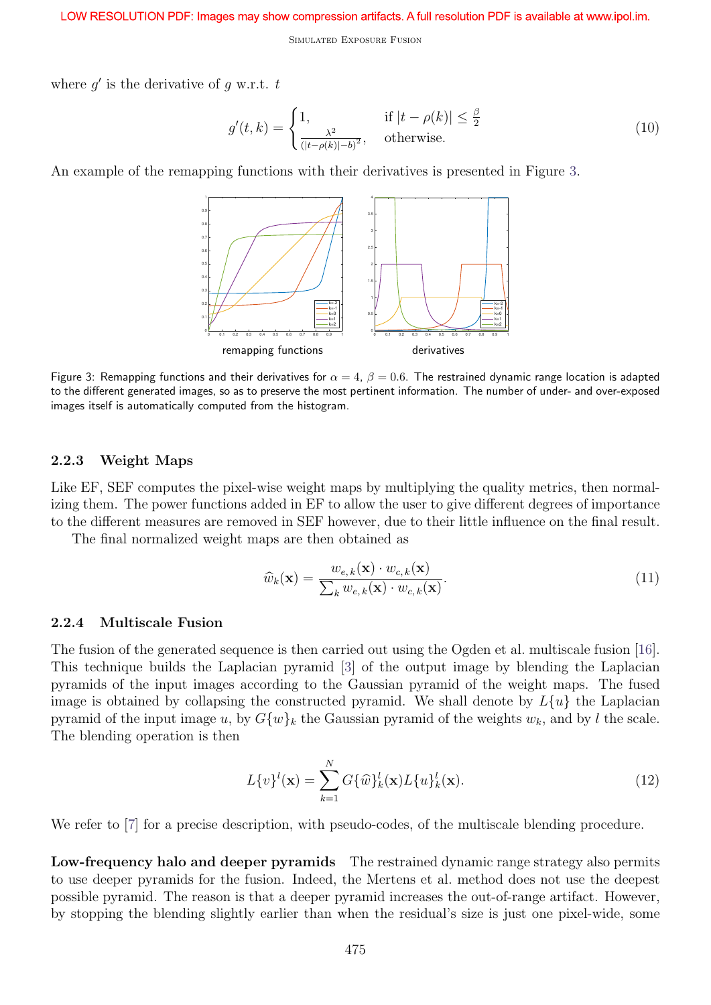#### LOW RESOLUTION PDF: Images may show compression artifacts. A full resolution PDF is available at www.ipol.im.

Simulated Exposure Fusion

where  $g'$  is the derivative of  $g$  w.r.t.  $t$ 

$$
g'(t,k) = \begin{cases} 1, & \text{if } |t - \rho(k)| \le \frac{\beta}{2} \\ \frac{\lambda^2}{(|t - \rho(k)| - b)^2}, & \text{otherwise.} \end{cases} \tag{10}
$$

An example of the remapping functions with their derivatives is presented in Figure 3.



Figure 3: Remapping functions and their derivatives for  $\alpha = 4$ ,  $\beta = 0.6$ . The restrained dynamic range location is adapted to the different generated images, so as to preserve the most pertinent information. The number of under- and over-exposed images itself is automatically computed from the histogram.

#### 2.2.3 Weight Maps

Like EF, SEF computes the pixel-wise weight maps by multiplying the quality metrics, then normalizing them. The power functions added in EF to allow the user to give different degrees of importance to the different measures are removed in SEF however, due to their little influence on the final result.

The final normalized weight maps are then obtained as

$$
\widehat{w}_k(\mathbf{x}) = \frac{w_{e,k}(\mathbf{x}) \cdot w_{c,k}(\mathbf{x})}{\sum_k w_{e,k}(\mathbf{x}) \cdot w_{c,k}(\mathbf{x})}.
$$
\n(11)

#### 2.2.4 Multiscale Fusion

The fusion of the generated sequence is then carried out using the Ogden et al. multiscale fusion [16]. This technique builds the Laplacian pyramid [3] of the output image by blending the Laplacian pyramids of the input images according to the Gaussian pyramid of the weight maps. The fused image is obtained by collapsing the constructed pyramid. We shall denote by  $L\{u\}$  the Laplacian pyramid of the input image u, by  $G\{w\}_k$  the Gaussian pyramid of the weights  $w_k$ , and by l the scale. The blending operation is then

$$
L\{v\}^{l}(\mathbf{x}) = \sum_{k=1}^{N} G\{\widehat{w}\}_{k}^{l}(\mathbf{x})L\{u\}_{k}^{l}(\mathbf{x}).
$$
\n(12)

We refer to [7] for a precise description, with pseudo-codes, of the multiscale blending procedure.

Low-frequency halo and deeper pyramids The restrained dynamic range strategy also permits to use deeper pyramids for the fusion. Indeed, the Mertens et al. method does not use the deepest possible pyramid. The reason is that a deeper pyramid increases the out-of-range artifact. However, by stopping the blending slightly earlier than when the residual's size is just one pixel-wide, some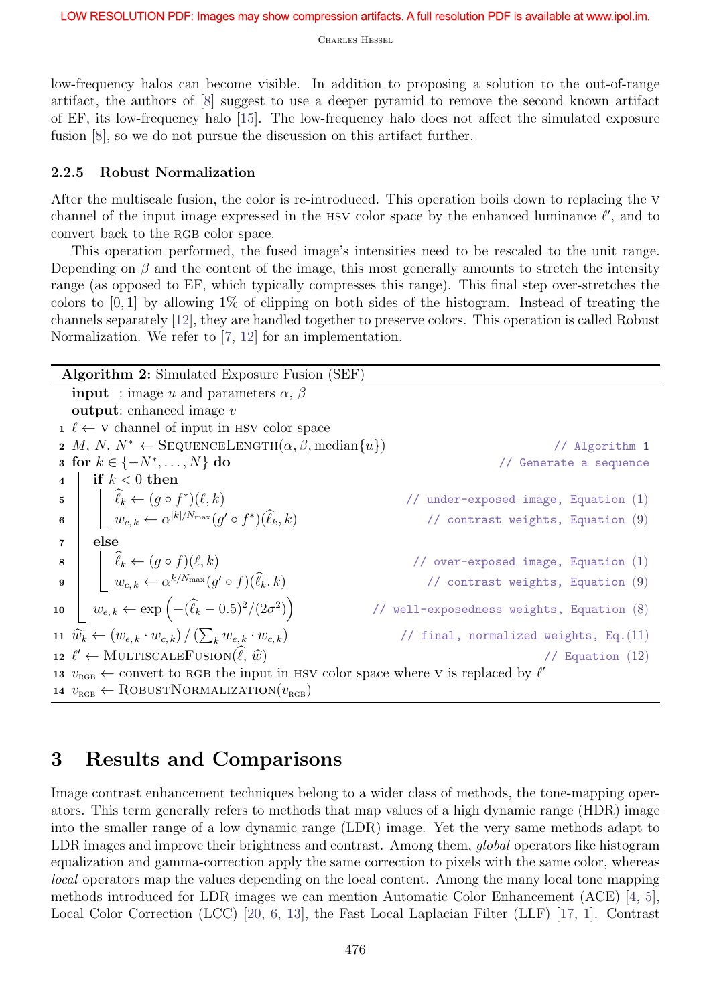low-frequency halos can become visible. In addition to proposing a solution to the out-of-range artifact, the authors of [8] suggest to use a deeper pyramid to remove the second known artifact of EF, its low-frequency halo [15]. The low-frequency halo does not affect the simulated exposure fusion [8], so we do not pursue the discussion on this artifact further.

### 2.2.5 Robust Normalization

After the multiscale fusion, the color is re-introduced. This operation boils down to replacing the v channel of the input image expressed in the HSV color space by the enhanced luminance  $\ell'$ , and to convert back to the RGB color space.

This operation performed, the fused image's intensities need to be rescaled to the unit range. Depending on  $\beta$  and the content of the image, this most generally amounts to stretch the intensity range (as opposed to EF, which typically compresses this range). This final step over-stretches the colors to  $[0, 1]$  by allowing  $1\%$  of clipping on both sides of the histogram. Instead of treating the channels separately [12], they are handled together to preserve colors. This operation is called Robust Normalization. We refer to [7, 12] for an implementation.

| <b>Algorithm 2:</b> Simulated Exposure Fusion (SEF)                           |                                                                                                                                                                                                                                             |                                             |  |  |  |
|-------------------------------------------------------------------------------|---------------------------------------------------------------------------------------------------------------------------------------------------------------------------------------------------------------------------------------------|---------------------------------------------|--|--|--|
| <b>input</b> : image u and parameters $\alpha$ , $\beta$                      |                                                                                                                                                                                                                                             |                                             |  |  |  |
| <b>output:</b> enhanced image $v$                                             |                                                                                                                                                                                                                                             |                                             |  |  |  |
|                                                                               | $1 \ell \leftarrow V$ channel of input in HSV color space                                                                                                                                                                                   |                                             |  |  |  |
| 2 M, N, $N^* \leftarrow$ SEQUENCELENGTH $(\alpha, \beta, \text{median}\{u\})$ |                                                                                                                                                                                                                                             | // Algorithm 1                              |  |  |  |
| <b>3</b> for $k \in \{-N^*, \ldots, N\}$ do                                   |                                                                                                                                                                                                                                             | // Generate a sequence                      |  |  |  |
| $\overline{\mathbf{4}}$                                                       | if $k < 0$ then                                                                                                                                                                                                                             |                                             |  |  |  |
|                                                                               | 5 $\begin{array}{c} \begin{array}{c} \text{5} \\ \text{6} \end{array} \end{array}$ $\begin{array}{c} \hat{\ell}_k \leftarrow (g \circ f^*)(\ell, k) \\ w_{c,k} \leftarrow \alpha^{ k /N_{\max}}(g' \circ f^*)(\hat{\ell}_k, k) \end{array}$ | // under-exposed image, Equation $(1)$      |  |  |  |
|                                                                               |                                                                                                                                                                                                                                             | // contrast weights, Equation $(9)$         |  |  |  |
| $\mathbf{7}$                                                                  | else                                                                                                                                                                                                                                        |                                             |  |  |  |
|                                                                               | 8<br>9<br>$\hat{\ell}_k \leftarrow (g \circ f)(\ell, k)$<br>$w_{c,k} \leftarrow \alpha^{k/N_{\max}}(g' \circ f)(\widehat{\ell}_k, k)$                                                                                                       | // $over-exposed image$ , Equation $(1)$    |  |  |  |
|                                                                               |                                                                                                                                                                                                                                             | // contrast weights, Equation $(9)$         |  |  |  |
|                                                                               | 10 $w_{e,k} \leftarrow \exp\left(-(\widehat{\ell}_k - 0.5)^2/(2\sigma^2)\right)$                                                                                                                                                            | // well-exposedness weights, Equation $(8)$ |  |  |  |
|                                                                               | 11 $\widehat{w}_k \leftarrow (w_{e,k} \cdot w_{c,k}) / (\sum_k w_{e,k} \cdot w_{c,k})$                                                                                                                                                      | // final, normalized weights, $Eq.(11)$     |  |  |  |
|                                                                               | 12 $\ell' \leftarrow \text{MULTISCALEFUSION}(\hat{\ell}, \hat{w})$                                                                                                                                                                          | // Equation $(12)$                          |  |  |  |
|                                                                               | 13 $v_{\text{RGB}} \leftarrow$ convert to RGB the input in HSV color space where V is replaced by $\ell'$                                                                                                                                   |                                             |  |  |  |
|                                                                               | 14 $v_{\text{RGB}} \leftarrow \text{ROBUSTNORMALIZATION}(v_{\text{RGB}})$                                                                                                                                                                   |                                             |  |  |  |

## 3 Results and Comparisons

Image contrast enhancement techniques belong to a wider class of methods, the tone-mapping operators. This term generally refers to methods that map values of a high dynamic range (HDR) image into the smaller range of a low dynamic range (LDR) image. Yet the very same methods adapt to LDR images and improve their brightness and contrast. Among them, global operators like histogram equalization and gamma-correction apply the same correction to pixels with the same color, whereas local operators map the values depending on the local content. Among the many local tone mapping methods introduced for LDR images we can mention Automatic Color Enhancement (ACE) [4, 5], Local Color Correction (LCC) [20, 6, 13], the Fast Local Laplacian Filter (LLF) [17, 1]. Contrast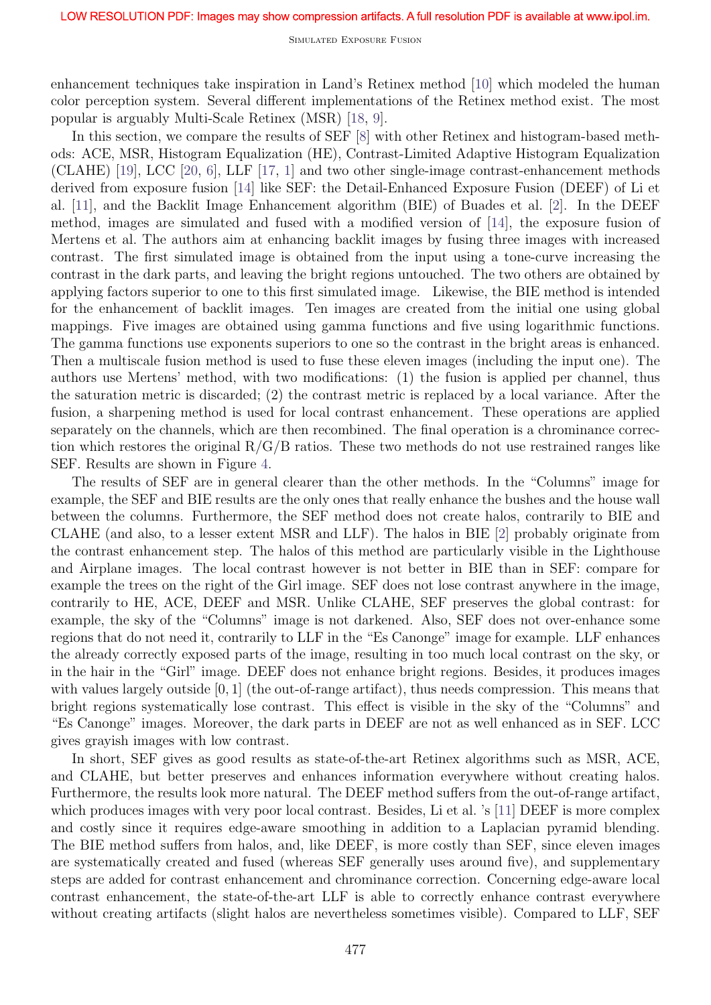Simulated Exposure Fusion

enhancement techniques take inspiration in Land's Retinex method [10] which modeled the human color perception system. Several different implementations of the Retinex method exist. The most popular is arguably Multi-Scale Retinex (MSR) [18, 9].

In this section, we compare the results of SEF  $[8]$  with other Retinex and histogram-based methods: ACE, MSR, Histogram Equalization (HE), Contrast-Limited Adaptive Histogram Equalization (CLAHE) [19], LCC [20, 6], LLF [17, 1] and two other single-image contrast-enhancement methods derived from exposure fusion [14] like SEF: the Detail-Enhanced Exposure Fusion (DEEF) of Li et al. [11], and the Backlit Image Enhancement algorithm (BIE) of Buades et al. [2]. In the DEEF method, images are simulated and fused with a modified version of [14], the exposure fusion of Mertens et al. The authors aim at enhancing backlit images by fusing three images with increased contrast. The first simulated image is obtained from the input using a tone-curve increasing the contrast in the dark parts, and leaving the bright regions untouched. The two others are obtained by applying factors superior to one to this first simulated image. Likewise, the BIE method is intended for the enhancement of backlit images. Ten images are created from the initial one using global mappings. Five images are obtained using gamma functions and five using logarithmic functions. The gamma functions use exponents superiors to one so the contrast in the bright areas is enhanced. Then a multiscale fusion method is used to fuse these eleven images (including the input one). The authors use Mertens' method, with two modifications: (1) the fusion is applied per channel, thus the saturation metric is discarded; (2) the contrast metric is replaced by a local variance. After the fusion, a sharpening method is used for local contrast enhancement. These operations are applied separately on the channels, which are then recombined. The final operation is a chrominance correction which restores the original R/G/B ratios. These two methods do not use restrained ranges like SEF. Results are shown in Figure 4.

The results of SEF are in general clearer than the other methods. In the "Columns" image for example, the SEF and BIE results are the only ones that really enhance the bushes and the house wall between the columns. Furthermore, the SEF method does not create halos, contrarily to BIE and CLAHE (and also, to a lesser extent MSR and LLF). The halos in BIE [2] probably originate from the contrast enhancement step. The halos of this method are particularly visible in the Lighthouse and Airplane images. The local contrast however is not better in BIE than in SEF: compare for example the trees on the right of the Girl image. SEF does not lose contrast anywhere in the image, contrarily to HE, ACE, DEEF and MSR. Unlike CLAHE, SEF preserves the global contrast: for example, the sky of the "Columns" image is not darkened. Also, SEF does not over-enhance some regions that do not need it, contrarily to LLF in the "Es Canonge" image for example. LLF enhances the already correctly exposed parts of the image, resulting in too much local contrast on the sky, or in the hair in the "Girl" image. DEEF does not enhance bright regions. Besides, it produces images with values largely outside  $[0, 1]$  (the out-of-range artifact), thus needs compression. This means that bright regions systematically lose contrast. This effect is visible in the sky of the "Columns" and "Es Canonge" images. Moreover, the dark parts in DEEF are not as well enhanced as in SEF. LCC gives grayish images with low contrast.

In short, SEF gives as good results as state-of-the-art Retinex algorithms such as MSR, ACE, and CLAHE, but better preserves and enhances information everywhere without creating halos. Furthermore, the results look more natural. The DEEF method suffers from the out-of-range artifact, which produces images with very poor local contrast. Besides, Li et al. 's [11] DEEF is more complex and costly since it requires edge-aware smoothing in addition to a Laplacian pyramid blending. The BIE method suffers from halos, and, like DEEF, is more costly than SEF, since eleven images are systematically created and fused (whereas SEF generally uses around five), and supplementary steps are added for contrast enhancement and chrominance correction. Concerning edge-aware local contrast enhancement, the state-of-the-art LLF is able to correctly enhance contrast everywhere without creating artifacts (slight halos are nevertheless sometimes visible). Compared to LLF, SEF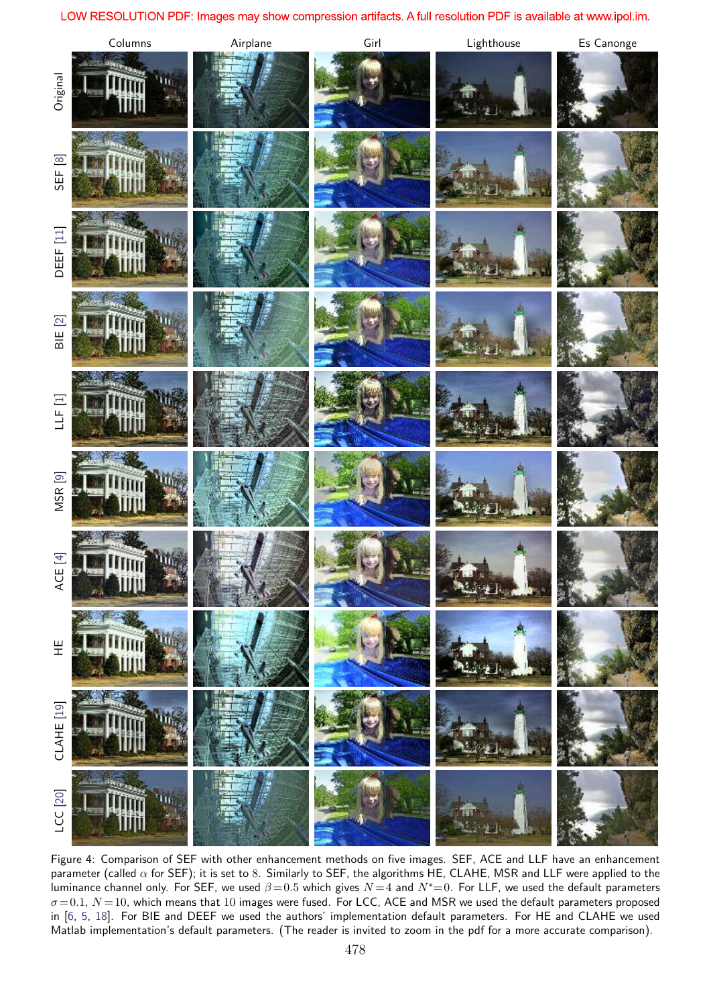#### LOW RESOLUTION PDF: Images may show compression artifacts. A full resolution PDF is available at www.ipol.im.



Figure 4: Comparison of SEF with other enhancement methods on five images. SEF, ACE and LLF have an enhancement parameter (called  $\alpha$  for SEF); it is set to 8. Similarly to SEF, the algorithms HE, CLAHE, MSR and LLF were applied to the luminance channel only. For SEF, we used  $\beta = 0.5$  which gives  $N = 4$  and  $N^* = 0$ . For LLF, we used the default parameters  $\sigma$  = 0.1,  $N$  = 10, which means that 10 images were fused. For LCC, ACE and MSR we used the default parameters proposed in [6, 5, 18]. For BIE and DEEF we used the authors' implementation default parameters. For HE and CLAHE we used Matlab implementation's default parameters. (The reader is invited to zoom in the pdf for a more accurate comparison).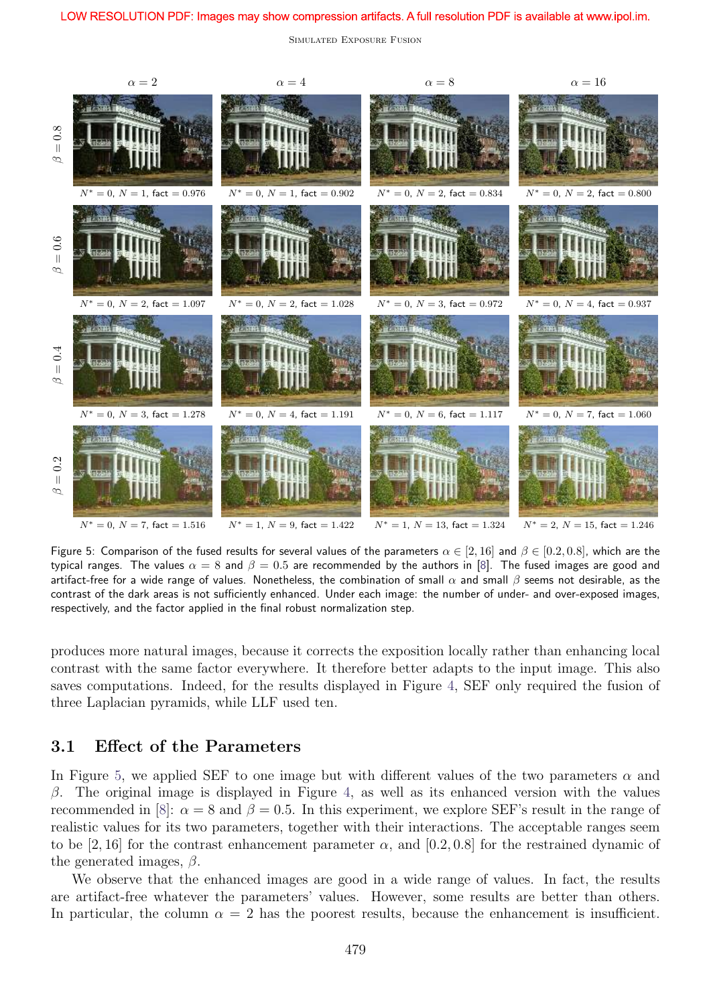#### LOW RESOLUTION PDF: Images may show compression artifacts. A full resolution PDF is available at www.ipol.im.

Simulated Exposure Fusion



Figure 5: Comparison of the fused results for several values of the parameters  $\alpha \in [2, 16]$  and  $\beta \in [0.2, 0.8]$ , which are the typical ranges. The values  $\alpha = 8$  and  $\beta = 0.5$  are recommended by the authors in [8]. The fused images are good and artifact-free for a wide range of values. Nonetheless, the combination of small  $\alpha$  and small  $\beta$  seems not desirable, as the contrast of the dark areas is not sufficiently enhanced. Under each image: the number of under- and over-exposed images, respectively, and the factor applied in the final robust normalization step.

produces more natural images, because it corrects the exposition locally rather than enhancing local contrast with the same factor everywhere. It therefore better adapts to the input image. This also saves computations. Indeed, for the results displayed in Figure 4, SEF only required the fusion of three Laplacian pyramids, while LLF used ten.

### 3.1 Effect of the Parameters

In Figure 5, we applied SEF to one image but with different values of the two parameters  $\alpha$  and β. The original image is displayed in Figure 4, as well as its enhanced version with the values recommended in [8]:  $\alpha = 8$  and  $\beta = 0.5$ . In this experiment, we explore SEF's result in the range of realistic values for its two parameters, together with their interactions. The acceptable ranges seem to be [2, 16] for the contrast enhancement parameter  $\alpha$ , and [0.2, 0.8] for the restrained dynamic of the generated images,  $\beta$ .

We observe that the enhanced images are good in a wide range of values. In fact, the results are artifact-free whatever the parameters' values. However, some results are better than others. In particular, the column  $\alpha = 2$  has the poorest results, because the enhancement is insufficient.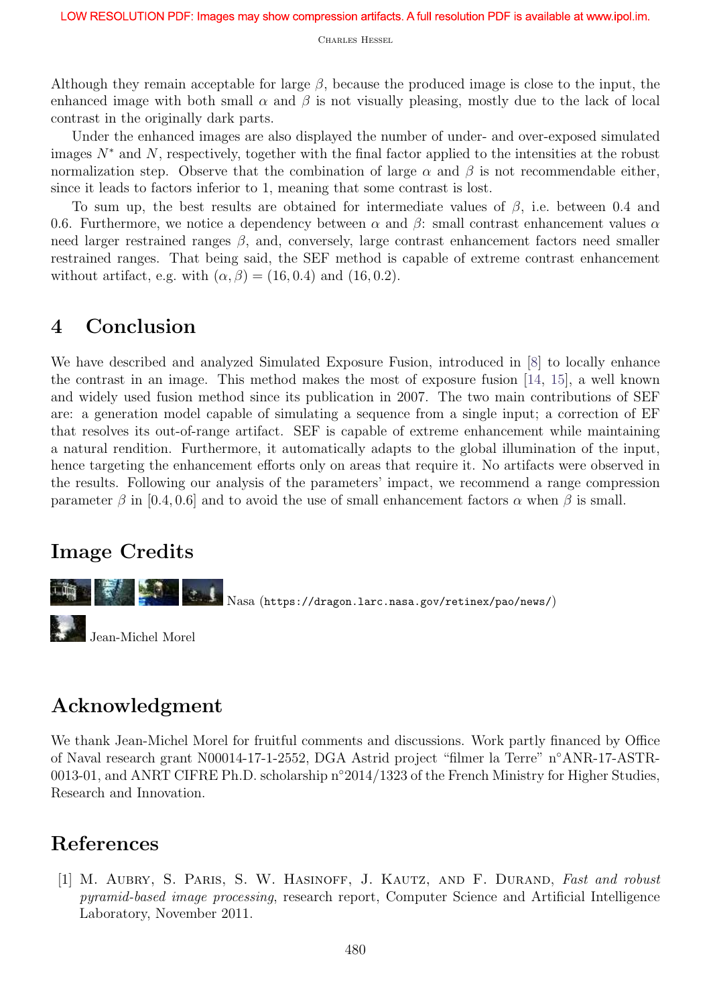Although they remain acceptable for large  $\beta$ , because the produced image is close to the input, the enhanced image with both small  $\alpha$  and  $\beta$  is not visually pleasing, mostly due to the lack of local contrast in the originally dark parts.

Under the enhanced images are also displayed the number of under- and over-exposed simulated images  $N^*$  and N, respectively, together with the final factor applied to the intensities at the robust normalization step. Observe that the combination of large  $\alpha$  and  $\beta$  is not recommendable either, since it leads to factors inferior to 1, meaning that some contrast is lost.

To sum up, the best results are obtained for intermediate values of  $\beta$ , i.e. between 0.4 and 0.6. Furthermore, we notice a dependency between  $\alpha$  and  $\beta$ : small contrast enhancement values  $\alpha$ need larger restrained ranges  $\beta$ , and, conversely, large contrast enhancement factors need smaller restrained ranges. That being said, the SEF method is capable of extreme contrast enhancement without artifact, e.g. with  $(\alpha, \beta) = (16, 0.4)$  and  $(16, 0.2)$ .

## 4 Conclusion

We have described and analyzed Simulated Exposure Fusion, introduced in [8] to locally enhance the contrast in an image. This method makes the most of exposure fusion [14, 15], a well known and widely used fusion method since its publication in 2007. The two main contributions of SEF are: a generation model capable of simulating a sequence from a single input; a correction of EF that resolves its out-of-range artifact. SEF is capable of extreme enhancement while maintaining a natural rendition. Furthermore, it automatically adapts to the global illumination of the input, hence targeting the enhancement efforts only on areas that require it. No artifacts were observed in the results. Following our analysis of the parameters' impact, we recommend a range compression parameter  $\beta$  in [0.4, 0.6] and to avoid the use of small enhancement factors  $\alpha$  when  $\beta$  is small.

## Image Credits



# Acknowledgment

We thank Jean-Michel Morel for fruitful comments and discussions. Work partly financed by Office of Naval research grant N00014-17-1-2552, DGA Astrid project "filmer la Terre" n◦ANR-17-ASTR-0013-01, and ANRT CIFRE Ph.D. scholarship n◦2014/1323 of the French Ministry for Higher Studies, Research and Innovation.

## References

[1] M. AUBRY, S. PARIS, S. W. HASINOFF, J. KAUTZ, AND F. DURAND, Fast and robust pyramid-based image processing, research report, Computer Science and Artificial Intelligence Laboratory, November 2011.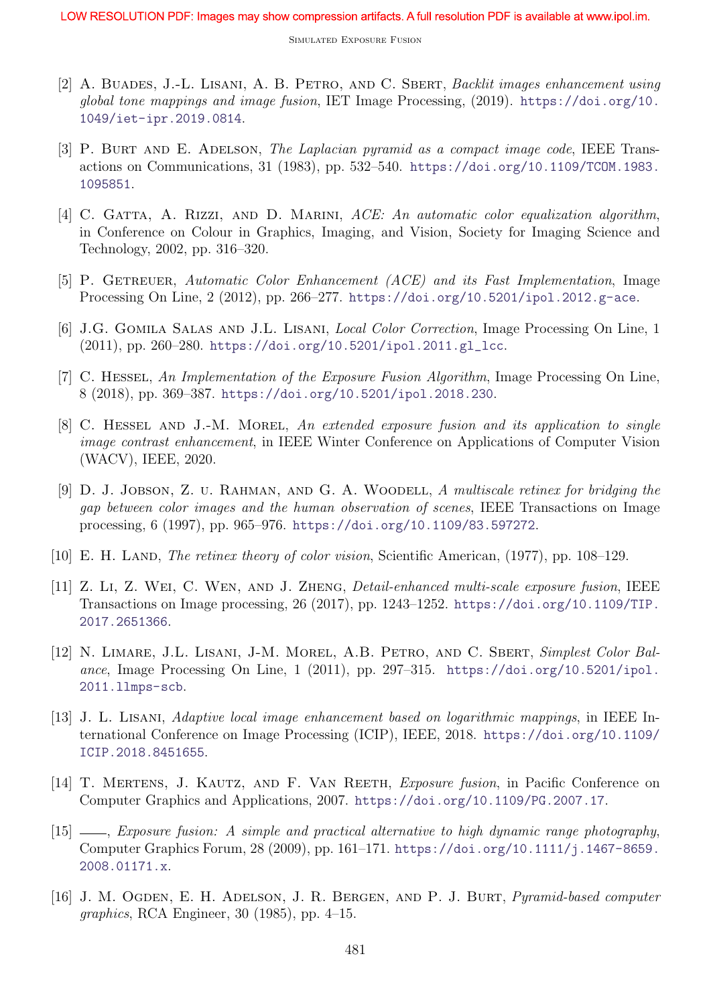- [2] A. BUADES, J.-L. LISANI, A. B. PETRO, AND C. SBERT, Backlit images enhancement using global tone mappings and image fusion, IET Image Processing, (2019). https://doi.org/10. 1049/iet-ipr.2019.0814.
- [3] P. BURT AND E. ADELSON, The Laplacian pyramid as a compact image code, IEEE Transactions on Communications, 31 (1983), pp. 532–540. https://doi.org/10.1109/TCOM.1983. 1095851.
- [4] C. GATTA, A. RIZZI, AND D. MARINI, ACE: An automatic color equalization algorithm, in Conference on Colour in Graphics, Imaging, and Vision, Society for Imaging Science and Technology, 2002, pp. 316–320.
- [5] P. GETREUER, Automatic Color Enhancement (ACE) and its Fast Implementation, Image Processing On Line, 2 (2012), pp. 266–277. https://doi.org/10.5201/ipol.2012.g-ace.
- [6] J.G. Gomila Salas and J.L. Lisani, Local Color Correction, Image Processing On Line, 1 (2011), pp. 260–280. https://doi.org/10.5201/ipol.2011.gl\_lcc.
- [7] C. Hessel, An Implementation of the Exposure Fusion Algorithm, Image Processing On Line, 8 (2018), pp. 369–387. https://doi.org/10.5201/ipol.2018.230.
- [8] C. HESSEL AND J.-M. MOREL, An extended exposure fusion and its application to single image contrast enhancement, in IEEE Winter Conference on Applications of Computer Vision (WACV), IEEE, 2020.
- [9] D. J. JOBSON, Z. U. RAHMAN, AND G. A. WOODELL, A multiscale retinex for bridging the gap between color images and the human observation of scenes, IEEE Transactions on Image processing, 6 (1997), pp. 965–976. https://doi.org/10.1109/83.597272.
- [10] E. H. LAND, *The retinex theory of color vision*, Scientific American, (1977), pp. 108–129.
- [11] Z. Li, Z. Wei, C. Wen, and J. Zheng, Detail-enhanced multi-scale exposure fusion, IEEE Transactions on Image processing, 26 (2017), pp. 1243–1252. https://doi.org/10.1109/TIP. 2017.2651366.
- [12] N. LIMARE, J.L. LISANI, J-M. MOREL, A.B. PETRO, AND C. SBERT, Simplest Color Balance, Image Processing On Line, 1 (2011), pp. 297–315. https://doi.org/10.5201/ipol. 2011.llmps-scb.
- [13] J. L. Lisani, Adaptive local image enhancement based on logarithmic mappings, in IEEE International Conference on Image Processing (ICIP), IEEE, 2018. https://doi.org/10.1109/ ICIP.2018.8451655.
- [14] T. MERTENS, J. KAUTZ, AND F. VAN REETH, *Exposure fusion*, in Pacific Conference on Computer Graphics and Applications, 2007. https://doi.org/10.1109/PG.2007.17.
- [15]  $\_\_\_\_\_\_\_\_\_\_\_\_\_\_\_\_\_\_\_\_\_\_\_\.\_$  fusion: A simple and practical alternative to high dynamic range photography, Computer Graphics Forum, 28 (2009), pp. 161–171. https://doi.org/10.1111/j.1467-8659. 2008.01171.x.
- [16] J. M. OGDEN, E. H. ADELSON, J. R. BERGEN, AND P. J. BURT, *Pyramid-based computer* graphics, RCA Engineer, 30 (1985), pp. 4–15.